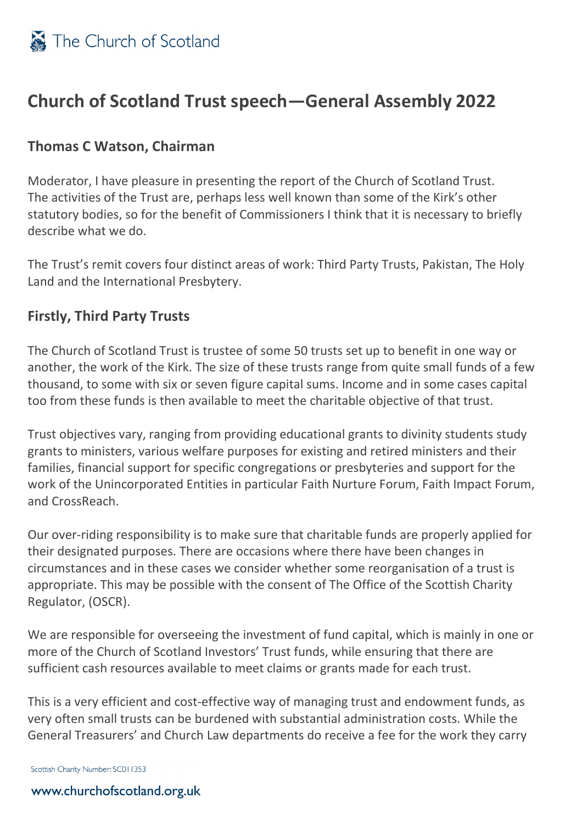

### **Church of Scotland Trust speech—General Assembly 2022**

### **Thomas C Watson, Chairman**

Moderator, I have pleasure in presenting the report of the Church of Scotland Trust. The activities of the Trust are, perhaps less well known than some of the Kirk's other statutory bodies, so for the benefit of Commissioners I think that it is necessary to briefly describe what we do.

The Trust's remit covers four distinct areas of work: Third Party Trusts, Pakistan, The Holy Land and the International Presbytery.

#### **Firstly, Third Party Trusts**

The Church of Scotland Trust is trustee of some 50 trusts set up to benefit in one way or another, the work of the Kirk. The size of these trusts range from quite small funds of a few thousand, to some with six or seven figure capital sums. Income and in some cases capital too from these funds is then available to meet the charitable objective of that trust.

Trust objectives vary, ranging from providing educational grants to divinity students study grants to ministers, various welfare purposes for existing and retired ministers and their families, financial support for specific congregations or presbyteries and support for the work of the Unincorporated Entities in particular Faith Nurture Forum, Faith Impact Forum, and CrossReach.

Our over-riding responsibility is to make sure that charitable funds are properly applied for their designated purposes. There are occasions where there have been changes in circumstances and in these cases we consider whether some reorganisation of a trust is appropriate. This may be possible with the consent of The Office of the Scottish Charity Regulator, (OSCR).

We are responsible for overseeing the investment of fund capital, which is mainly in one or more of the Church of Scotland Investors' Trust funds, while ensuring that there are sufficient cash resources available to meet claims or grants made for each trust.

This is a very efficient and cost-effective way of managing trust and endowment funds, as very often small trusts can be burdened with substantial administration costs. While the General Treasurers' and Church Law departments do receive a fee for the work they carry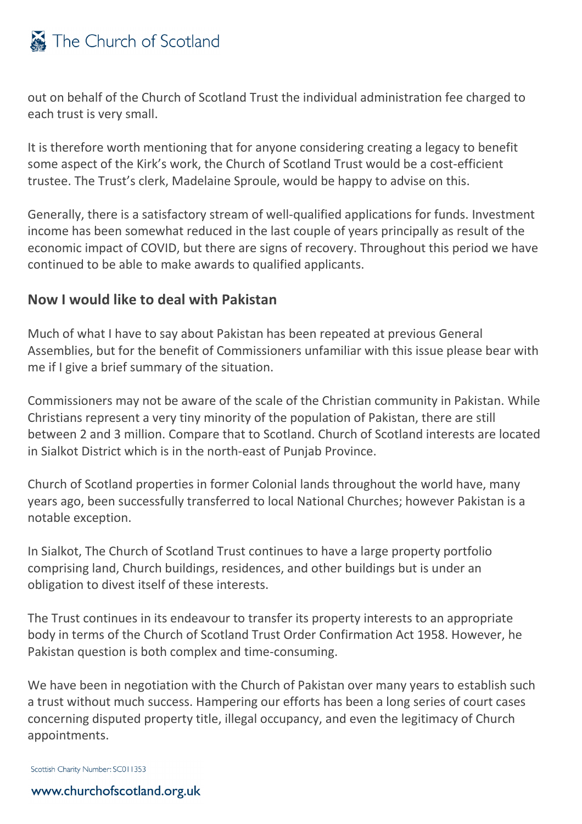# The Church of Scotland

out on behalf of the Church of Scotland Trust the individual administration fee charged to each trust is very small.

It is therefore worth mentioning that for anyone considering creating a legacy to benefit some aspect of the Kirk's work, the Church of Scotland Trust would be a cost-efficient trustee. The Trust's clerk, Madelaine Sproule, would be happy to advise on this.

Generally, there is a satisfactory stream of well-qualified applications for funds. Investment income has been somewhat reduced in the last couple of years principally as result of the economic impact of COVID, but there are signs of recovery. Throughout this period we have continued to be able to make awards to qualified applicants.

### **Now I would like to deal with Pakistan**

Much of what I have to say about Pakistan has been repeated at previous General Assemblies, but for the benefit of Commissioners unfamiliar with this issue please bear with me if I give a brief summary of the situation.

Commissioners may not be aware of the scale of the Christian community in Pakistan. While Christians represent a very tiny minority of the population of Pakistan, there are still between 2 and 3 million. Compare that to Scotland. Church of Scotland interests are located in Sialkot District which is in the north-east of Punjab Province.

Church of Scotland properties in former Colonial lands throughout the world have, many years ago, been successfully transferred to local National Churches; however Pakistan is a notable exception.

In Sialkot, The Church of Scotland Trust continues to have a large property portfolio comprising land, Church buildings, residences, and other buildings but is under an obligation to divest itself of these interests.

The Trust continues in its endeavour to transfer its property interests to an appropriate body in terms of the Church of Scotland Trust Order Confirmation Act 1958. However, he Pakistan question is both complex and time-consuming.

We have been in negotiation with the Church of Pakistan over many years to establish such a trust without much success. Hampering our efforts has been a long series of court cases concerning disputed property title, illegal occupancy, and even the legitimacy of Church appointments.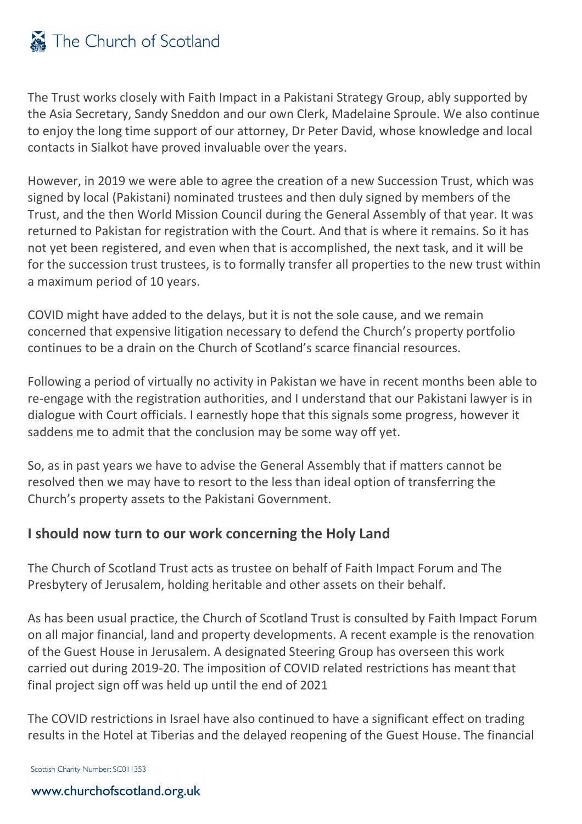# The Church of Scotland

The Trust works closely with Faith Impact in a Pakistani Strategy Group, ably supported by the Asia Secretary, Sandy Sneddon and our own Clerk, Madelaine Sproule. We also continue to enjoy the long time support of our attorney, Dr Peter David, whose knowledge and local contacts in Sialkot have proved invaluable over the years.

However, in 2019 we were able to agree the creation of a new Succession Trust, which was signed by local (Pakistani) nominated trustees and then duly signed by members of the Trust, and the then World Mission Council during the General Assembly of that year. It was returned to Pakistan for registration with the Court. And that is where it remains. So it has not yet been registered, and even when that is accomplished, the next task, and it will be for the succession trust trustees, is to formally transfer all properties to the new trust within a maximum period of 10 years.

COVID might have added to the delays, but it is not the sole cause, and we remain concerned that expensive litigation necessary to defend the Church's property portfolio continues to be a drain on the Church of Scotland's scarce financial resources.

Following a period of virtually no activity in Pakistan we have in recent months been able to re-engage with the registration authorities, and I understand that our Pakistani lawyer is in dialogue with Court officials. I earnestly hope that this signals some progress, however it saddens me to admit that the conclusion may be some way off yet.

So, as in past years we have to advise the General Assembly that if matters cannot be resolved then we may have to resort to the less than ideal option of transferring the Church's property assets to the Pakistani Government.

### **I should now turn to our work concerning the Holy Land**

The Church of Scotland Trust acts as trustee on behalf of Faith Impact Forum and The Presbytery of Jerusalem, holding heritable and other assets on their behalf.

As has been usual practice, the Church of Scotland Trust is consulted by Faith Impact Forum on all major financial, land and property developments. A recent example is the renovation of the Guest House in Jerusalem. A designated Steering Group has overseen this work carried out during 2019-20. The imposition of COVID related restrictions has meant that final project sign off was held up until the end of 2021

The COVID restrictions in Israel have also continued to have a significant effect on trading results in the Hotel at Tiberias and the delayed reopening of the Guest House. The financial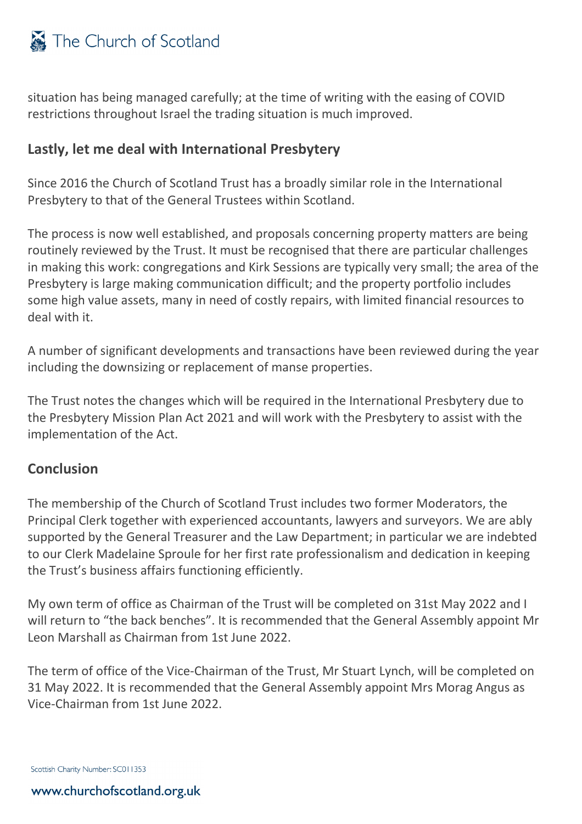

situation has being managed carefully; at the time of writing with the easing of COVID restrictions throughout Israel the trading situation is much improved.

#### **Lastly, let me deal with International Presbytery**

Since 2016 the Church of Scotland Trust has a broadly similar role in the International Presbytery to that of the General Trustees within Scotland.

The process is now well established, and proposals concerning property matters are being routinely reviewed by the Trust. It must be recognised that there are particular challenges in making this work: congregations and Kirk Sessions are typically very small; the area of the Presbytery is large making communication difficult; and the property portfolio includes some high value assets, many in need of costly repairs, with limited financial resources to deal with it.

A number of significant developments and transactions have been reviewed during the year including the downsizing or replacement of manse properties.

The Trust notes the changes which will be required in the International Presbytery due to the Presbytery Mission Plan Act 2021 and will work with the Presbytery to assist with the implementation of the Act.

#### **Conclusion**

The membership of the Church of Scotland Trust includes two former Moderators, the Principal Clerk together with experienced accountants, lawyers and surveyors. We are ably supported by the General Treasurer and the Law Department; in particular we are indebted to our Clerk Madelaine Sproule for her first rate professionalism and dedication in keeping the Trust's business affairs functioning efficiently.

My own term of office as Chairman of the Trust will be completed on 31st May 2022 and I will return to "the back benches". It is recommended that the General Assembly appoint Mr Leon Marshall as Chairman from 1st June 2022.

The term of office of the Vice-Chairman of the Trust, Mr Stuart Lynch, will be completed on 31 May 2022. It is recommended that the General Assembly appoint Mrs Morag Angus as Vice-Chairman from 1st June 2022.